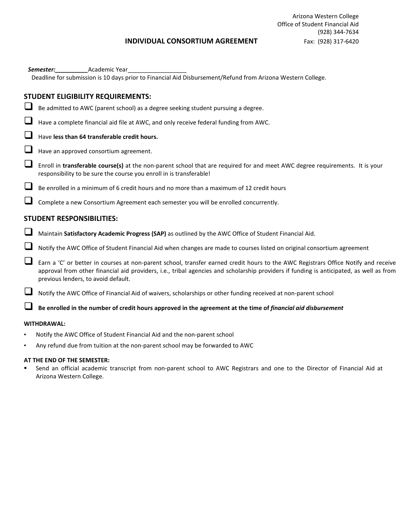## **INDIVIDUAL CONSORTIUM AGREEMENT** Fax: (928) 317-6420

| Academic Year<br>Semester:                                                                                                                                                                                                                                                                                           |
|----------------------------------------------------------------------------------------------------------------------------------------------------------------------------------------------------------------------------------------------------------------------------------------------------------------------|
| Deadline for submission is 10 days prior to Financial Aid Disbursement/Refund from Arizona Western College.                                                                                                                                                                                                          |
|                                                                                                                                                                                                                                                                                                                      |
| <b>STUDENT ELIGIBILITY REQUIREMENTS:</b>                                                                                                                                                                                                                                                                             |
| Be admitted to AWC (parent school) as a degree seeking student pursuing a degree.                                                                                                                                                                                                                                    |
| Have a complete financial aid file at AWC, and only receive federal funding from AWC.                                                                                                                                                                                                                                |
| Have less than 64 transferable credit hours.                                                                                                                                                                                                                                                                         |
| Have an approved consortium agreement.                                                                                                                                                                                                                                                                               |
| Enroll in transferable course(s) at the non-parent school that are required for and meet AWC degree requirements. It is your<br>responsibility to be sure the course you enroll in is transferable!                                                                                                                  |
| Be enrolled in a minimum of 6 credit hours and no more than a maximum of 12 credit hours                                                                                                                                                                                                                             |
| Complete a new Consortium Agreement each semester you will be enrolled concurrently.                                                                                                                                                                                                                                 |
| <b>STUDENT RESPONSIBILITIES:</b>                                                                                                                                                                                                                                                                                     |
| Maintain Satisfactory Academic Progress (SAP) as outlined by the AWC Office of Student Financial Aid.                                                                                                                                                                                                                |
| Notify the AWC Office of Student Financial Aid when changes are made to courses listed on original consortium agreement                                                                                                                                                                                              |
| Earn a 'C' or better in courses at non-parent school, transfer earned credit hours to the AWC Registrars Office Notify and receive<br>approval from other financial aid providers, i.e., tribal agencies and scholarship providers if funding is anticipated, as well as from<br>previous lenders, to avoid default. |
| Notify the AWC Office of Financial Aid of waivers, scholarships or other funding received at non-parent school                                                                                                                                                                                                       |
| Be enrolled in the number of credit hours approved in the agreement at the time of financial aid disbursement                                                                                                                                                                                                        |
| WITHDRAWAL:                                                                                                                                                                                                                                                                                                          |
| Notify the AWC Office of Student Financial Aid and the non-parent school                                                                                                                                                                                                                                             |
|                                                                                                                                                                                                                                                                                                                      |

• Any refund due from tuition at the non-parent school may be forwarded to AWC

## **AT THE END OF THE SEMESTER:**

- Send an official academic transcript from non-parent school to AWC Registrars and one to the Director of Financial Aid at Arizona Western College.